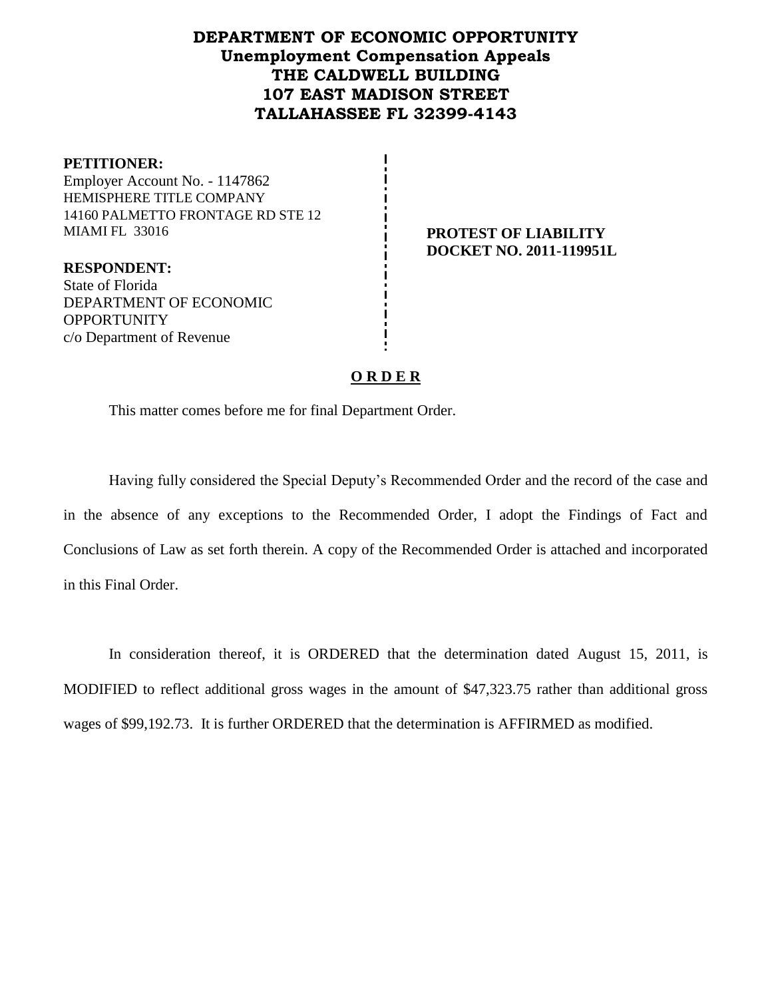# **DEPARTMENT OF ECONOMIC OPPORTUNITY Unemployment Compensation Appeals THE CALDWELL BUILDING 107 EAST MADISON STREET TALLAHASSEE FL 32399-4143**

**PETITIONER:** Employer Account No. - 1147862 HEMISPHERE TITLE COMPANY 14160 PALMETTO FRONTAGE RD STE 12 MIAMI FL 33016 **PROTEST OF LIABILITY**

**RESPONDENT:** State of Florida DEPARTMENT OF ECONOMIC **OPPORTUNITY** c/o Department of Revenue

**DOCKET NO. 2011-119951L**

## **O R D E R**

This matter comes before me for final Department Order.

Having fully considered the Special Deputy's Recommended Order and the record of the case and in the absence of any exceptions to the Recommended Order, I adopt the Findings of Fact and Conclusions of Law as set forth therein. A copy of the Recommended Order is attached and incorporated in this Final Order.

In consideration thereof, it is ORDERED that the determination dated August 15, 2011, is MODIFIED to reflect additional gross wages in the amount of \$47,323.75 rather than additional gross wages of \$99,192.73. It is further ORDERED that the determination is AFFIRMED as modified.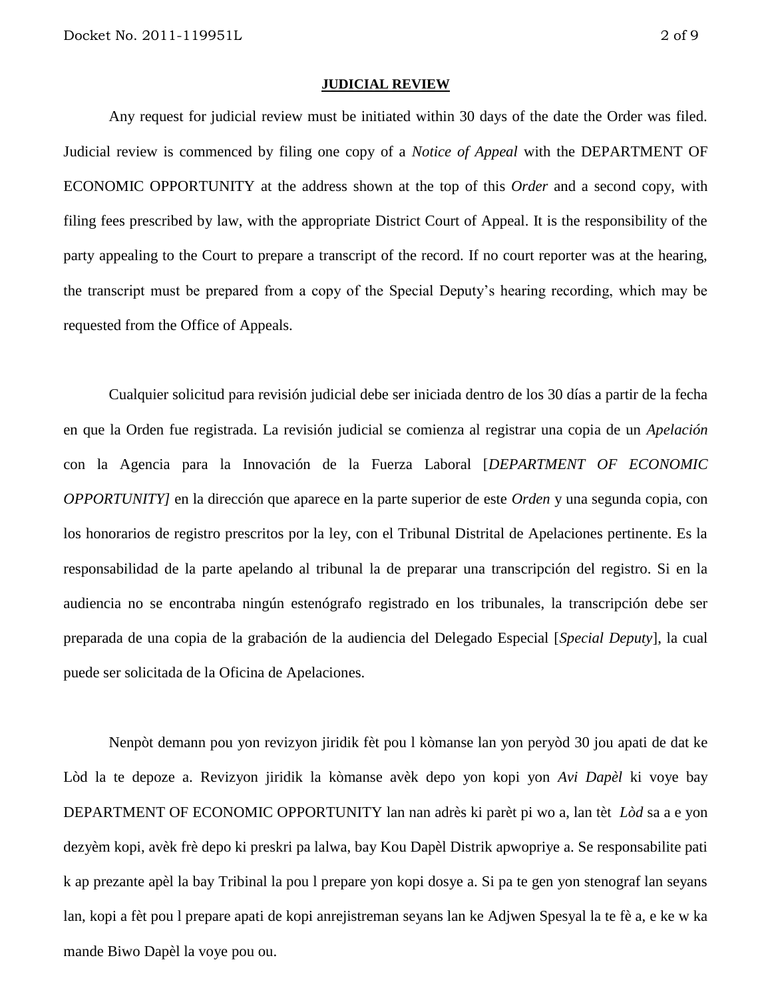#### **JUDICIAL REVIEW**

Any request for judicial review must be initiated within 30 days of the date the Order was filed. Judicial review is commenced by filing one copy of a *Notice of Appeal* with the DEPARTMENT OF ECONOMIC OPPORTUNITY at the address shown at the top of this *Order* and a second copy, with filing fees prescribed by law, with the appropriate District Court of Appeal. It is the responsibility of the party appealing to the Court to prepare a transcript of the record. If no court reporter was at the hearing, the transcript must be prepared from a copy of the Special Deputy's hearing recording, which may be requested from the Office of Appeals.

Cualquier solicitud para revisión judicial debe ser iniciada dentro de los 30 días a partir de la fecha en que la Orden fue registrada. La revisión judicial se comienza al registrar una copia de un *Apelación* con la Agencia para la Innovación de la Fuerza Laboral [*DEPARTMENT OF ECONOMIC OPPORTUNITY]* en la dirección que aparece en la parte superior de este *Orden* y una segunda copia, con los honorarios de registro prescritos por la ley, con el Tribunal Distrital de Apelaciones pertinente. Es la responsabilidad de la parte apelando al tribunal la de preparar una transcripción del registro. Si en la audiencia no se encontraba ningún estenógrafo registrado en los tribunales, la transcripción debe ser preparada de una copia de la grabación de la audiencia del Delegado Especial [*Special Deputy*], la cual puede ser solicitada de la Oficina de Apelaciones.

Nenpòt demann pou yon revizyon jiridik fèt pou l kòmanse lan yon peryòd 30 jou apati de dat ke Lòd la te depoze a. Revizyon jiridik la kòmanse avèk depo yon kopi yon *Avi Dapèl* ki voye bay DEPARTMENT OF ECONOMIC OPPORTUNITY lan nan adrès ki parèt pi wo a, lan tèt *Lòd* sa a e yon dezyèm kopi, avèk frè depo ki preskri pa lalwa, bay Kou Dapèl Distrik apwopriye a. Se responsabilite pati k ap prezante apèl la bay Tribinal la pou l prepare yon kopi dosye a. Si pa te gen yon stenograf lan seyans lan, kopi a fèt pou l prepare apati de kopi anrejistreman seyans lan ke Adjwen Spesyal la te fè a, e ke w ka mande Biwo Dapèl la voye pou ou.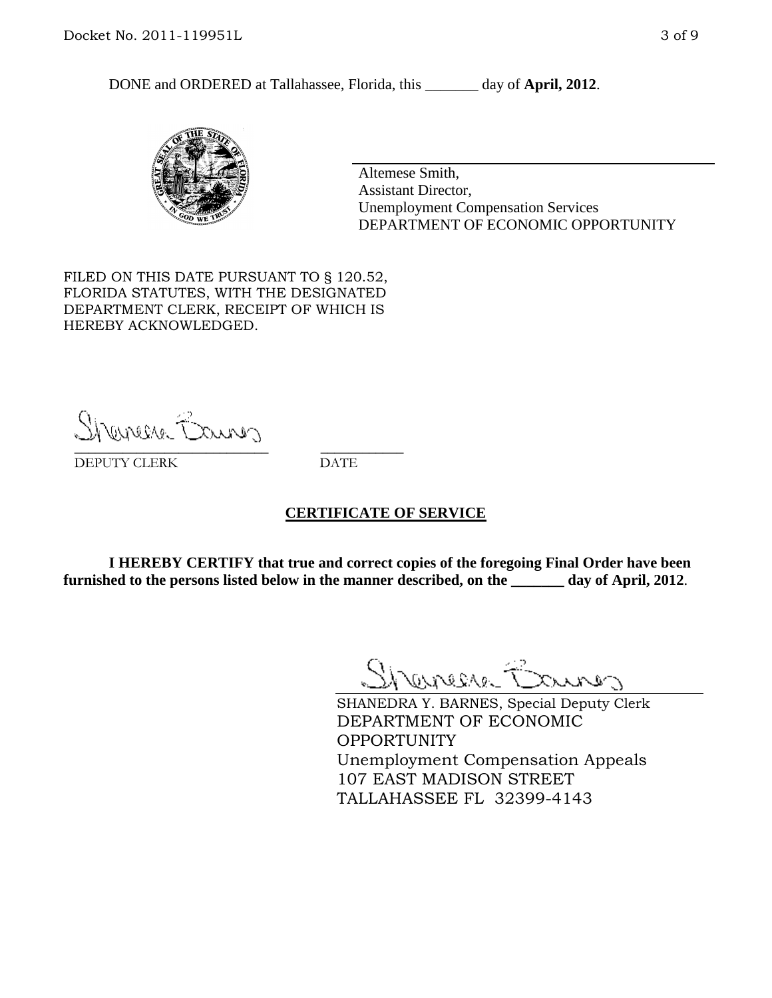DONE and ORDERED at Tallahassee, Florida, this day of **April, 2012**.



Altemese Smith, Assistant Director, Unemployment Compensation Services DEPARTMENT OF ECONOMIC OPPORTUNITY

FILED ON THIS DATE PURSUANT TO § 120.52, FLORIDA STATUTES, WITH THE DESIGNATED DEPARTMENT CLERK, RECEIPT OF WHICH IS HEREBY ACKNOWLEDGED.

Sherman Barnes \_\_\_\_\_\_\_\_\_\_\_\_\_\_\_\_\_\_\_\_\_\_\_\_\_\_\_\_ \_\_\_\_\_\_\_\_\_\_\_\_

DEPUTY CLERK DATE

#### **CERTIFICATE OF SERVICE**

**I HEREBY CERTIFY that true and correct copies of the foregoing Final Order have been furnished to the persons listed below in the manner described, on the \_\_\_\_\_\_\_ day of April, 2012**.

Shaner Barnes

SHANEDRA Y. BARNES, Special Deputy Clerk DEPARTMENT OF ECONOMIC OPPORTUNITY Unemployment Compensation Appeals 107 EAST MADISON STREET TALLAHASSEE FL 32399-4143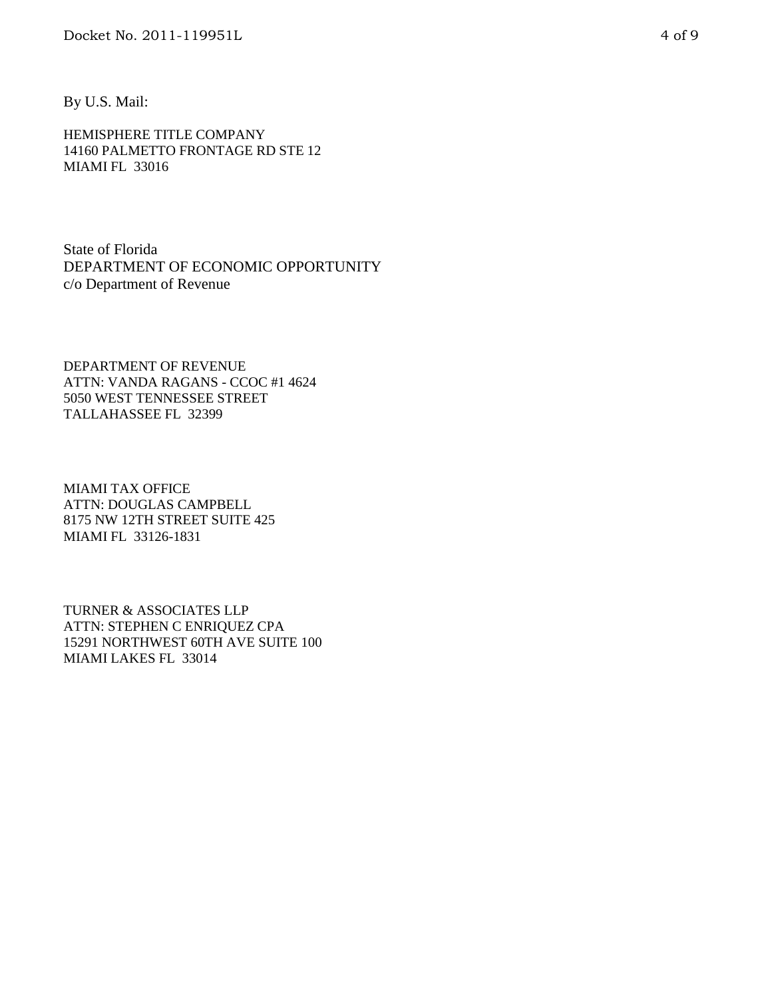By U.S. Mail:

HEMISPHERE TITLE COMPANY 14160 PALMETTO FRONTAGE RD STE 12 MIAMI FL 33016

State of Florida DEPARTMENT OF ECONOMIC OPPORTUNITY c/o Department of Revenue

DEPARTMENT OF REVENUE ATTN: VANDA RAGANS - CCOC #1 4624 5050 WEST TENNESSEE STREET TALLAHASSEE FL 32399

MIAMI TAX OFFICE ATTN: DOUGLAS CAMPBELL 8175 NW 12TH STREET SUITE 425 MIAMI FL 33126-1831

TURNER & ASSOCIATES LLP ATTN: STEPHEN C ENRIQUEZ CPA 15291 NORTHWEST 60TH AVE SUITE 100 MIAMI LAKES FL 33014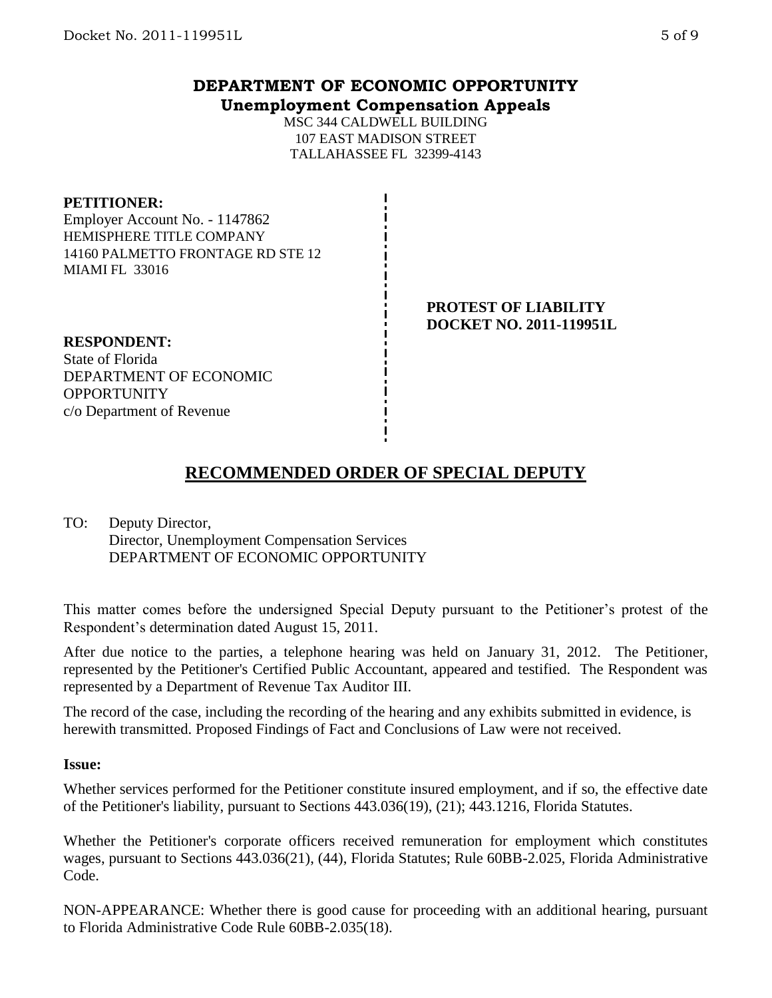# **DEPARTMENT OF ECONOMIC OPPORTUNITY Unemployment Compensation Appeals**

MSC 344 CALDWELL BUILDING 107 EAST MADISON STREET TALLAHASSEE FL 32399-4143

#### **PETITIONER:**

Employer Account No. - 1147862 HEMISPHERE TITLE COMPANY 14160 PALMETTO FRONTAGE RD STE 12 MIAMI FL 33016

#### **PROTEST OF LIABILITY DOCKET NO. 2011-119951L**

**RESPONDENT:** State of Florida DEPARTMENT OF ECONOMIC **OPPORTUNITY** c/o Department of Revenue

# **RECOMMENDED ORDER OF SPECIAL DEPUTY**

TO: Deputy Director, Director, Unemployment Compensation Services DEPARTMENT OF ECONOMIC OPPORTUNITY

This matter comes before the undersigned Special Deputy pursuant to the Petitioner's protest of the Respondent's determination dated August 15, 2011.

After due notice to the parties, a telephone hearing was held on January 31, 2012. The Petitioner, represented by the Petitioner's Certified Public Accountant, appeared and testified. The Respondent was represented by a Department of Revenue Tax Auditor III.

The record of the case, including the recording of the hearing and any exhibits submitted in evidence, is herewith transmitted. Proposed Findings of Fact and Conclusions of Law were not received.

#### **Issue:**

Whether services performed for the Petitioner constitute insured employment, and if so, the effective date of the Petitioner's liability, pursuant to Sections 443.036(19), (21); 443.1216, Florida Statutes.

Whether the Petitioner's corporate officers received remuneration for employment which constitutes wages, pursuant to Sections 443.036(21), (44), Florida Statutes; Rule 60BB-2.025, Florida Administrative Code.

NON-APPEARANCE: Whether there is good cause for proceeding with an additional hearing, pursuant to Florida Administrative Code Rule 60BB-2.035(18).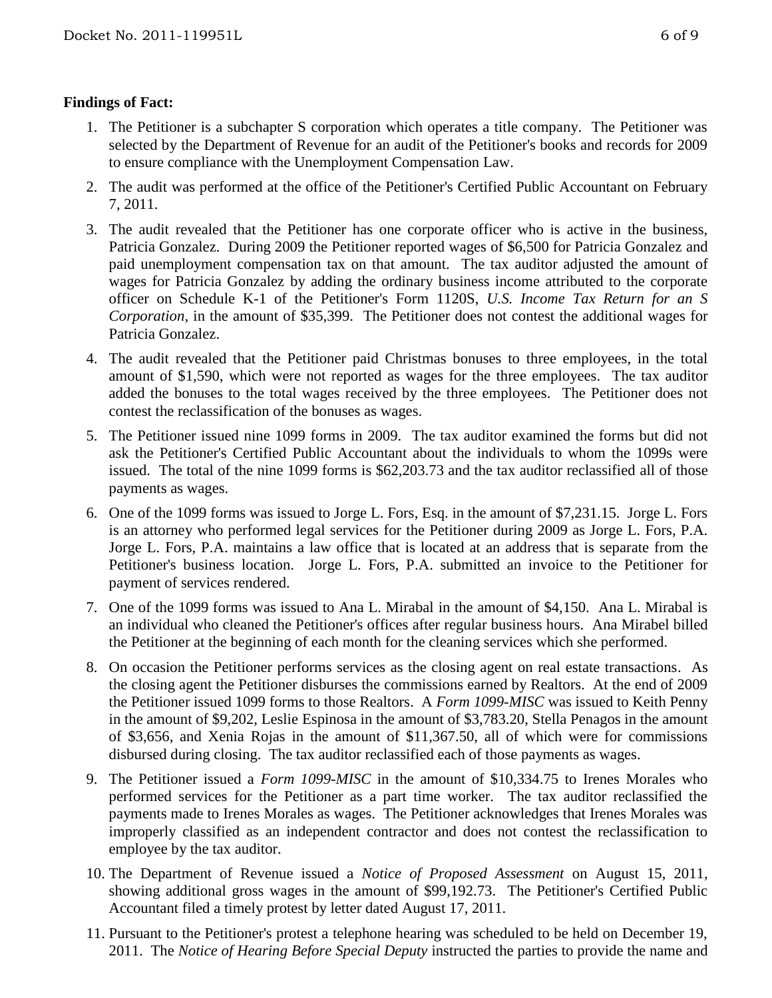### **Findings of Fact:**

- 1. The Petitioner is a subchapter S corporation which operates a title company. The Petitioner was selected by the Department of Revenue for an audit of the Petitioner's books and records for 2009 to ensure compliance with the Unemployment Compensation Law.
- 2. The audit was performed at the office of the Petitioner's Certified Public Accountant on February 7, 2011.
- 3. The audit revealed that the Petitioner has one corporate officer who is active in the business, Patricia Gonzalez. During 2009 the Petitioner reported wages of \$6,500 for Patricia Gonzalez and paid unemployment compensation tax on that amount. The tax auditor adjusted the amount of wages for Patricia Gonzalez by adding the ordinary business income attributed to the corporate officer on Schedule K-1 of the Petitioner's Form 1120S, *U.S. Income Tax Return for an S Corporation*, in the amount of \$35,399. The Petitioner does not contest the additional wages for Patricia Gonzalez.
- 4. The audit revealed that the Petitioner paid Christmas bonuses to three employees, in the total amount of \$1,590, which were not reported as wages for the three employees. The tax auditor added the bonuses to the total wages received by the three employees. The Petitioner does not contest the reclassification of the bonuses as wages.
- 5. The Petitioner issued nine 1099 forms in 2009. The tax auditor examined the forms but did not ask the Petitioner's Certified Public Accountant about the individuals to whom the 1099s were issued. The total of the nine 1099 forms is \$62,203.73 and the tax auditor reclassified all of those payments as wages.
- 6. One of the 1099 forms was issued to Jorge L. Fors, Esq. in the amount of \$7,231.15. Jorge L. Fors is an attorney who performed legal services for the Petitioner during 2009 as Jorge L. Fors, P.A. Jorge L. Fors, P.A. maintains a law office that is located at an address that is separate from the Petitioner's business location. Jorge L. Fors, P.A. submitted an invoice to the Petitioner for payment of services rendered.
- 7. One of the 1099 forms was issued to Ana L. Mirabal in the amount of \$4,150. Ana L. Mirabal is an individual who cleaned the Petitioner's offices after regular business hours. Ana Mirabel billed the Petitioner at the beginning of each month for the cleaning services which she performed.
- 8. On occasion the Petitioner performs services as the closing agent on real estate transactions. As the closing agent the Petitioner disburses the commissions earned by Realtors. At the end of 2009 the Petitioner issued 1099 forms to those Realtors. A *Form 1099-MISC* was issued to Keith Penny in the amount of \$9,202, Leslie Espinosa in the amount of \$3,783.20, Stella Penagos in the amount of \$3,656, and Xenia Rojas in the amount of \$11,367.50, all of which were for commissions disbursed during closing. The tax auditor reclassified each of those payments as wages.
- 9. The Petitioner issued a *Form 1099-MISC* in the amount of \$10,334.75 to Irenes Morales who performed services for the Petitioner as a part time worker. The tax auditor reclassified the payments made to Irenes Morales as wages. The Petitioner acknowledges that Irenes Morales was improperly classified as an independent contractor and does not contest the reclassification to employee by the tax auditor.
- 10. The Department of Revenue issued a *Notice of Proposed Assessment* on August 15, 2011, showing additional gross wages in the amount of \$99,192.73. The Petitioner's Certified Public Accountant filed a timely protest by letter dated August 17, 2011.
- 11. Pursuant to the Petitioner's protest a telephone hearing was scheduled to be held on December 19, 2011. The *Notice of Hearing Before Special Deputy* instructed the parties to provide the name and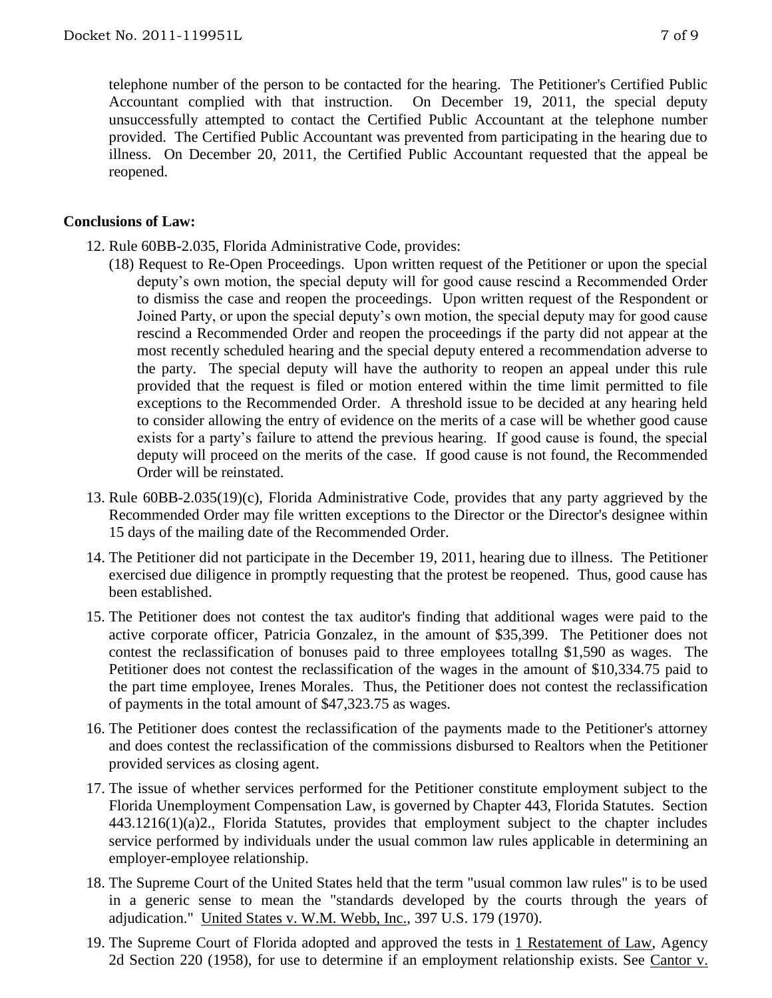telephone number of the person to be contacted for the hearing. The Petitioner's Certified Public Accountant complied with that instruction. On December 19, 2011, the special deputy unsuccessfully attempted to contact the Certified Public Accountant at the telephone number provided. The Certified Public Accountant was prevented from participating in the hearing due to illness. On December 20, 2011, the Certified Public Accountant requested that the appeal be reopened.

### **Conclusions of Law:**

- 12. Rule 60BB-2.035, Florida Administrative Code, provides:
	- (18) Request to Re-Open Proceedings. Upon written request of the Petitioner or upon the special deputy's own motion, the special deputy will for good cause rescind a Recommended Order to dismiss the case and reopen the proceedings. Upon written request of the Respondent or Joined Party, or upon the special deputy's own motion, the special deputy may for good cause rescind a Recommended Order and reopen the proceedings if the party did not appear at the most recently scheduled hearing and the special deputy entered a recommendation adverse to the party. The special deputy will have the authority to reopen an appeal under this rule provided that the request is filed or motion entered within the time limit permitted to file exceptions to the Recommended Order. A threshold issue to be decided at any hearing held to consider allowing the entry of evidence on the merits of a case will be whether good cause exists for a party's failure to attend the previous hearing. If good cause is found, the special deputy will proceed on the merits of the case. If good cause is not found, the Recommended Order will be reinstated.
- 13. Rule 60BB-2.035(19)(c), Florida Administrative Code, provides that any party aggrieved by the Recommended Order may file written exceptions to the Director or the Director's designee within 15 days of the mailing date of the Recommended Order.
- 14. The Petitioner did not participate in the December 19, 2011, hearing due to illness. The Petitioner exercised due diligence in promptly requesting that the protest be reopened. Thus, good cause has been established.
- 15. The Petitioner does not contest the tax auditor's finding that additional wages were paid to the active corporate officer, Patricia Gonzalez, in the amount of \$35,399. The Petitioner does not contest the reclassification of bonuses paid to three employees totallng \$1,590 as wages. The Petitioner does not contest the reclassification of the wages in the amount of \$10,334.75 paid to the part time employee, Irenes Morales. Thus, the Petitioner does not contest the reclassification of payments in the total amount of \$47,323.75 as wages.
- 16. The Petitioner does contest the reclassification of the payments made to the Petitioner's attorney and does contest the reclassification of the commissions disbursed to Realtors when the Petitioner provided services as closing agent.
- 17. The issue of whether services performed for the Petitioner constitute employment subject to the Florida Unemployment Compensation Law, is governed by Chapter 443, Florida Statutes. Section 443.1216(1)(a)2., Florida Statutes, provides that employment subject to the chapter includes service performed by individuals under the usual common law rules applicable in determining an employer-employee relationship.
- 18. The Supreme Court of the United States held that the term "usual common law rules" is to be used in a generic sense to mean the "standards developed by the courts through the years of adjudication." United States v. W.M. Webb, Inc., 397 U.S. 179 (1970).
- 19. The Supreme Court of Florida adopted and approved the tests in 1 Restatement of Law, Agency 2d Section 220 (1958), for use to determine if an employment relationship exists. See Cantor v.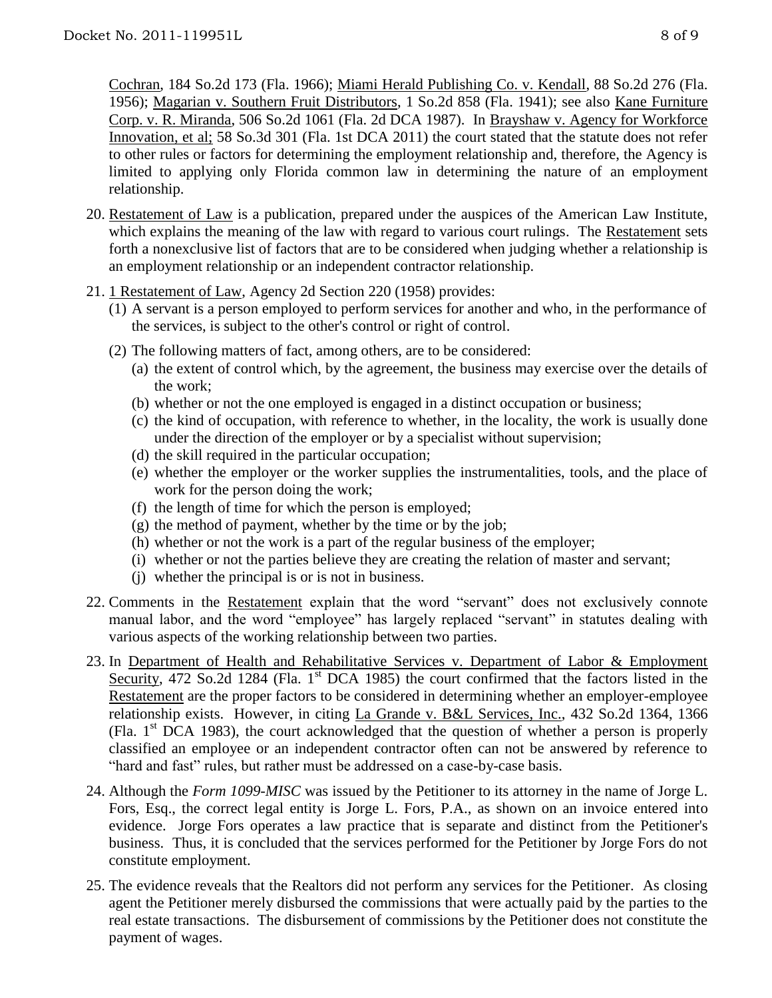Cochran, 184 So.2d 173 (Fla. 1966); Miami Herald Publishing Co. v. Kendall, 88 So.2d 276 (Fla. 1956); Magarian v. Southern Fruit Distributors, 1 So.2d 858 (Fla. 1941); see also Kane Furniture Corp. v. R. Miranda, 506 So.2d 1061 (Fla. 2d DCA 1987). In Brayshaw v. Agency for Workforce Innovation, et al; 58 So.3d 301 (Fla. 1st DCA 2011) the court stated that the statute does not refer to other rules or factors for determining the employment relationship and, therefore, the Agency is limited to applying only Florida common law in determining the nature of an employment relationship.

- 20. Restatement of Law is a publication, prepared under the auspices of the American Law Institute, which explains the meaning of the law with regard to various court rulings. The Restatement sets forth a nonexclusive list of factors that are to be considered when judging whether a relationship is an employment relationship or an independent contractor relationship.
- 21. 1 Restatement of Law, Agency 2d Section 220 (1958) provides:
	- (1) A servant is a person employed to perform services for another and who, in the performance of the services, is subject to the other's control or right of control.
	- (2) The following matters of fact, among others, are to be considered:
		- (a) the extent of control which, by the agreement, the business may exercise over the details of the work;
		- (b) whether or not the one employed is engaged in a distinct occupation or business;
		- (c) the kind of occupation, with reference to whether, in the locality, the work is usually done under the direction of the employer or by a specialist without supervision;
		- (d) the skill required in the particular occupation;
		- (e) whether the employer or the worker supplies the instrumentalities, tools, and the place of work for the person doing the work;
		- (f) the length of time for which the person is employed;
		- $(g)$  the method of payment, whether by the time or by the job;
		- (h) whether or not the work is a part of the regular business of the employer;
		- (i) whether or not the parties believe they are creating the relation of master and servant;
		- (j) whether the principal is or is not in business.
- 22. Comments in the Restatement explain that the word "servant" does not exclusively connote manual labor, and the word "employee" has largely replaced "servant" in statutes dealing with various aspects of the working relationship between two parties.
- 23. In Department of Health and Rehabilitative Services v. Department of Labor & Employment Security, 472 So.2d 1284 (Fla. 1<sup>st</sup> DCA 1985) the court confirmed that the factors listed in the Restatement are the proper factors to be considered in determining whether an employer-employee relationship exists. However, in citing La Grande v. B&L Services, Inc., 432 So.2d 1364, 1366 (Fla.  $1<sup>st</sup>$  DCA 1983), the court acknowledged that the question of whether a person is properly classified an employee or an independent contractor often can not be answered by reference to "hard and fast" rules, but rather must be addressed on a case-by-case basis.
- 24. Although the *Form 1099-MISC* was issued by the Petitioner to its attorney in the name of Jorge L. Fors, Esq., the correct legal entity is Jorge L. Fors, P.A., as shown on an invoice entered into evidence. Jorge Fors operates a law practice that is separate and distinct from the Petitioner's business. Thus, it is concluded that the services performed for the Petitioner by Jorge Fors do not constitute employment.
- 25. The evidence reveals that the Realtors did not perform any services for the Petitioner. As closing agent the Petitioner merely disbursed the commissions that were actually paid by the parties to the real estate transactions. The disbursement of commissions by the Petitioner does not constitute the payment of wages.